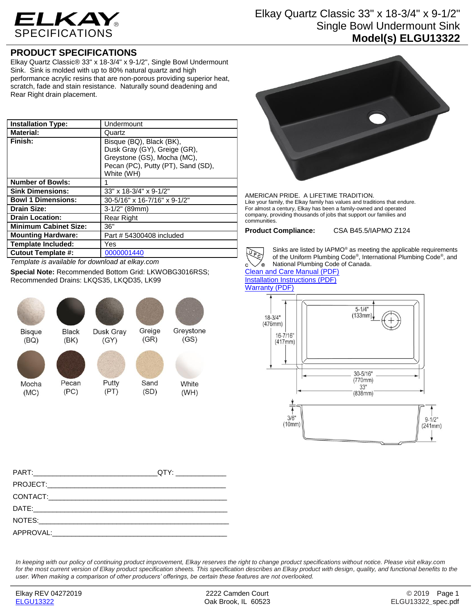

## Elkay Quartz Classic 33" x 18-3/4" x 9-1/2" Single Bowl Undermount Sink **Model(s) ELGU13322**

## **PRODUCT SPECIFICATIONS**

Elkay Quartz Classic® 33" x 18-3/4" x 9-1/2", Single Bowl Undermount Sink. Sink is molded with up to 80% natural quartz and high performance acrylic resins that are non-porous providing superior heat, scratch, fade and stain resistance. Naturally sound deadening and Rear Right drain placement.

| <b>Installation Type:</b>    | Undermount                                                                                                                                  |
|------------------------------|---------------------------------------------------------------------------------------------------------------------------------------------|
| <b>Material:</b>             | Quartz                                                                                                                                      |
| Finish:                      | Bisque (BQ), Black (BK),<br>Dusk Gray (GY), Greige (GR),<br>Greystone (GS), Mocha (MC),<br>Pecan (PC), Putty (PT), Sand (SD),<br>White (WH) |
| <b>Number of Bowls:</b>      | 1                                                                                                                                           |
| <b>Sink Dimensions:</b>      | 33" x 18-3/4" x 9-1/2"                                                                                                                      |
| <b>Bowl 1 Dimensions:</b>    | 30-5/16" x 16-7/16" x 9-1/2"                                                                                                                |
| <b>Drain Size:</b>           | 3-1/2" (89mm)                                                                                                                               |
| <b>Drain Location:</b>       | <b>Rear Right</b>                                                                                                                           |
| <b>Minimum Cabinet Size:</b> | 36"                                                                                                                                         |
| <b>Mounting Hardware:</b>    | Part # 54300408 included                                                                                                                    |
| <b>Template Included:</b>    | Yes                                                                                                                                         |
| <b>Cutout Template #:</b>    | 0000001440                                                                                                                                  |

*Template is available for download at elkay.com*

**Special Note:** Recommended Bottom Grid: LKWOBG3016RSS; Recommended Drains: LKQS35, LKQD35, LK99



White  $(SD)$  $(WH)$ 

Greystone

 $(GS)$ 



AMERICAN PRIDE. A LIFETIME TRADITION. Like your family, the Elkay family has values and traditions that endure. For almost a century, Elkay has been a family-owned and operated company, providing thousands of jobs that support our families and communities.

**Product Compliance:** CSA B45.5/IAPMO Z124



Sinks are listed by IAPMO® as meeting the applicable requirements of the Uniform Plumbing Code® , International Plumbing Code® , and National Plumbing Code of Canada.

[Clean and Care Manual \(PDF\)](http://www.elkay.com/wcsstore/lkdocs/care-cleaning-install-warranty-sheets/residential%20and%20commercial%20care%20%20cleaning.pdf) [Installation Instructions \(PDF\)](http://www.elkay.com/wcsstore/lkdocs/care-cleaning-install-warranty-sheets/0000000217.pdf) [Warranty](http://www.elkay.com/wcsstore/lkdocs/care-cleaning-install-warranty-sheets/quartz%20sinks%20warranty.pdf) (PDF)



*In keeping with our policy of continuing product improvement, Elkay reserves the right to change product specifications without notice. Please visit elkay.com for the most current version of Elkay product specification sheets. This specification describes an Elkay product with design, quality, and functional benefits to the user. When making a comparison of other producers' offerings, be certain these features are not overlooked.*